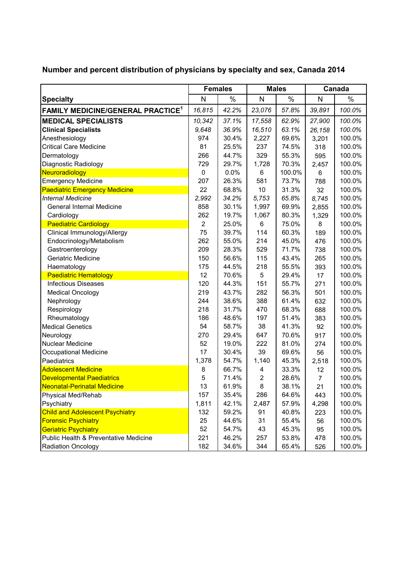|                                               | <b>Females</b> |       | <b>Males</b>   |        | Canada |        |
|-----------------------------------------------|----------------|-------|----------------|--------|--------|--------|
| <b>Specialty</b>                              | N              | $\%$  | $\mathsf{N}$   | $\%$   | N      | $\%$   |
| FAMILY MEDICINE/GENERAL PRACTICE <sup>1</sup> | 16,815         | 42.2% | 23,076         | 57.8%  | 39,891 | 100.0% |
| <b>MEDICAL SPECIALISTS</b>                    | 10,342         | 37.1% | 17,558         | 62.9%  | 27,900 | 100.0% |
| <b>Clinical Specialists</b>                   | 9.648          | 36.9% | 16,510         | 63.1%  | 26,158 | 100.0% |
| Anesthesiology                                | 974            | 30.4% | 2,227          | 69.6%  | 3,201  | 100.0% |
| <b>Critical Care Medicine</b>                 | 81             | 25.5% | 237            | 74.5%  | 318    | 100.0% |
| Dermatology                                   | 266            | 44.7% | 329            | 55.3%  | 595    | 100.0% |
| Diagnostic Radiology                          | 729            | 29.7% | 1,728          | 70.3%  | 2,457  | 100.0% |
| Neuroradiology                                | $\pmb{0}$      | 0.0%  | 6              | 100.0% | 6      | 100.0% |
| <b>Emergency Medicine</b>                     | 207            | 26.3% | 581            | 73.7%  | 788    | 100.0% |
| <b>Paediatric Emergency Medicine</b>          | 22             | 68.8% | 10             | 31.3%  | 32     | 100.0% |
| <b>Internal Medicine</b>                      | 2,992          | 34.2% | 5,753          | 65.8%  | 8,745  | 100.0% |
| <b>General Internal Medicine</b>              | 858            | 30.1% | 1,997          | 69.9%  | 2,855  | 100.0% |
| Cardiology                                    | 262            | 19.7% | 1,067          | 80.3%  | 1,329  | 100.0% |
| <b>Paediatric Cardiology</b>                  | $\overline{2}$ | 25.0% | 6              | 75.0%  | 8      | 100.0% |
| Clinical Immunology/Allergy                   | 75             | 39.7% | 114            | 60.3%  | 189    | 100.0% |
| Endocrinology/Metabolism                      | 262            | 55.0% | 214            | 45.0%  | 476    | 100.0% |
| Gastroenterology                              | 209            | 28.3% | 529            | 71.7%  | 738    | 100.0% |
| Geriatric Medicine                            | 150            | 56.6% | 115            | 43.4%  | 265    | 100.0% |
| Haematology                                   | 175            | 44.5% | 218            | 55.5%  | 393    | 100.0% |
| <b>Paediatric Hematology</b>                  | 12             | 70.6% | 5              | 29.4%  | 17     | 100.0% |
| <b>Infectious Diseases</b>                    | 120            | 44.3% | 151            | 55.7%  | 271    | 100.0% |
| <b>Medical Oncology</b>                       | 219            | 43.7% | 282            | 56.3%  | 501    | 100.0% |
| Nephrology                                    | 244            | 38.6% | 388            | 61.4%  | 632    | 100.0% |
| Respirology                                   | 218            | 31.7% | 470            | 68.3%  | 688    | 100.0% |
| Rheumatology                                  | 186            | 48.6% | 197            | 51.4%  | 383    | 100.0% |
| <b>Medical Genetics</b>                       | 54             | 58.7% | 38             | 41.3%  | 92     | 100.0% |
| Neurology                                     | 270            | 29.4% | 647            | 70.6%  | 917    | 100.0% |
| <b>Nuclear Medicine</b>                       | 52             | 19.0% | 222            | 81.0%  | 274    | 100.0% |
| Occupational Medicine                         | 17             | 30.4% | 39             | 69.6%  | 56     | 100.0% |
| Paediatrics                                   | 1,378          | 54.7% | 1,140          | 45.3%  | 2,518  | 100.0% |
| <b>Adolescent Medicine</b>                    | 8              | 66.7% | 4              | 33.3%  | 12     | 100.0% |
| <b>Developmental Paediatrics</b>              | 5              | 71.4% | $\overline{c}$ | 28.6%  | 7      | 100.0% |
| Neonatal-Perinatal Medicine                   | 13             | 61.9% | 8              | 38.1%  | 21     | 100.0% |
| Physical Med/Rehab                            | 157            | 35.4% | 286            | 64.6%  | 443    | 100.0% |
| Psychiatry                                    | 1,811          | 42.1% | 2,487          | 57.9%  | 4,298  | 100.0% |
| <b>Child and Adolescent Psychiatry</b>        | 132            | 59.2% | 91             | 40.8%  | 223    | 100.0% |
| <b>Forensic Psychiatry</b>                    | 25             | 44.6% | 31             | 55.4%  | 56     | 100.0% |
| <b>Geriatric Psychiatry</b>                   | 52             | 54.7% | 43             | 45.3%  | 95     | 100.0% |
| Public Health & Preventative Medicine         | 221            | 46.2% | 257            | 53.8%  | 478    | 100.0% |
| Radiation Oncology                            | 182            | 34.6% | 344            | 65.4%  | 526    | 100.0% |

**Number and percent distribution of physicians by specialty and sex, Canada 2014**